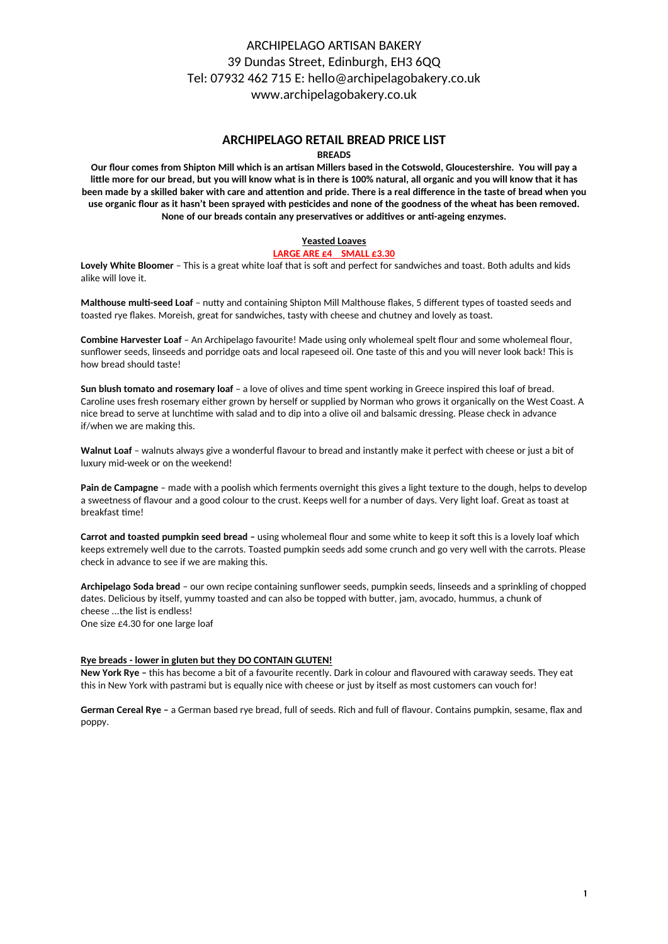# ARCHIPELAGO ARTISAN BAKERY 39 Dundas Street, Edinburgh, EH3 6QQ Tel: 07932 462 715 E: hello@archipelagobakery.co.uk www.archipelagobakery.co.uk

# **ARCHIPELAGO RETAIL BREAD PRICE LIST**

### **BREADS**

**Our flour comes from Shipton Mill which is an artisan Millers based in the Cotswold, Gloucestershire. You will pay a** little more for our bread, but you will know what is in there is 100% natural, all organic and you will know that it has been made by a skilled baker with care and attention and pride. There is a real difference in the taste of bread when you use organic flour as it hasn't been sprayed with pesticides and none of the goodness of the wheat has been removed. None of our breads contain any preservatives or additives or anti-ageing enzymes.

## **Yeasted Loaves**

#### **LARGE ARE £4 SMALL £3.30**

**Lovely White Bloomer** – This is a great white loaf that is soft and perfect for sandwiches and toast. Both adults and kids alike will love it.

**Malthouse multi-seed Loaf** – nutty and containing Shipton Mill Malthouse flakes, 5 different types of toasted seeds and toasted rye flakes. Moreish, great for sandwiches, tasty with cheese and chutney and lovely as toast.

**Combine Harvester Loaf** – An Archipelago favourite! Made using only wholemeal spelt flour and some wholemeal flour, sunflower seeds, linseeds and porridge oats and local rapeseed oil. One taste of this and you will never look back! This is how bread should taste!

**Sun blush tomato and rosemary loaf** – a love of olives and time spent working in Greece inspired this loaf of bread. Caroline uses fresh rosemary either grown by herself or supplied by Norman who grows it organically on the West Coast. A nice bread to serve at lunchtime with salad and to dip into a olive oil and balsamic dressing. Please check in advance if/when we are making this.

**Walnut Loaf** – walnuts always give a wonderful flavour to bread and instantly make it perfect with cheese or just a bit of luxury mid-week or on the weekend!

**Pain de Campagne** – made with a poolish which ferments overnight this gives a light texture to the dough, helps to develop a sweetness of flavour and a good colour to the crust. Keeps well for a number of days. Very light loaf. Great as toast at breakfast time!

**Carrot and toasted pumpkin seed bread -** using wholemeal flour and some white to keep it soft this is a lovely loaf which keeps extremely well due to the carrots. Toasted pumpkin seeds add some crunch and go very well with the carrots. Please check in advance to see if we are making this.

**Archipelago Soda bread** – our own recipe containing sunflower seeds, pumpkin seeds, linseeds and a sprinkling of chopped dates. Delicious by itself, yummy toasted and can also be topped with butter, jam, avocado, hummus, a chunk of cheese ...the list is endless! One size £4.30 for one large loaf

#### **Rye breads - lower in gluten but they DO CONTAIN GLUTEN!**

**New York Rye –** this has become a bit of a favourite recently. Dark in colour and flavoured with caraway seeds. They eat this in New York with pastrami but is equally nice with cheese or just by itself as most customers can vouch for!

**German Cereal Rye –** a German based rye bread, full of seeds. Rich and full of flavour. Contains pumpkin, sesame, flax and poppy.